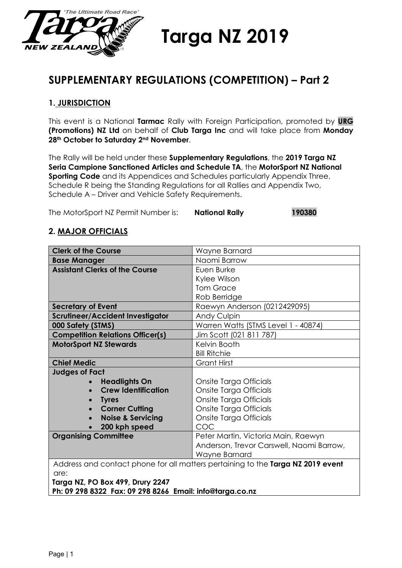

**Targa NZ 2019**

# **SUPPLEMENTARY REGULATIONS (COMPETITION) – Part 2**

# **1. JURISDICTION**

This event is a National **Tarmac** Rally with Foreign Participation, promoted by **URG (Promotions) NZ Ltd** on behalf of **Club Targa Inc** and will take place from **Monday 28th October to Saturday 2nd November**.

The Rally will be held under these **Supplementary Regulations**, the **2019 Targa NZ Seria Campione Sanctioned Articles and Schedule TA**, the **MotorSport NZ National Sporting Code** and its Appendices and Schedules particularly Appendix Three, Schedule R being the Standing Regulations for all Rallies and Appendix Two, Schedule A – Driver and Vehicle Safety Requirements.

The MotorSport NZ Permit Number is: **National Rally 190380**

# **2. MAJOR OFFICIALS**

| <b>Clerk of the Course</b>                | Wayne Barnard                                                                   |  |
|-------------------------------------------|---------------------------------------------------------------------------------|--|
| <b>Base Manager</b>                       | Naomi Barrow                                                                    |  |
| <b>Assistant Clerks of the Course</b>     | Euen Burke                                                                      |  |
|                                           | Kylee Wilson                                                                    |  |
|                                           | <b>Tom Grace</b>                                                                |  |
|                                           | Rob Berridge                                                                    |  |
| <b>Secretary of Event</b>                 | Raewyn Anderson (0212429095)                                                    |  |
| <b>Scrutineer/Accident Investigator</b>   | Andy Culpin                                                                     |  |
| 000 Safety (STMS)                         | Warren Watts (STMS Level 1 - 40874)                                             |  |
| <b>Competition Relations Officer(s)</b>   | Jim Scott (021 811 787)                                                         |  |
| <b>MotorSport NZ Stewards</b>             | Kelvin Booth                                                                    |  |
|                                           | <b>Bill Ritchie</b>                                                             |  |
| <b>Chief Medic</b>                        | Grant Hirst                                                                     |  |
| <b>Judges of Fact</b>                     |                                                                                 |  |
| <b>Headlights On</b>                      | Onsite Targa Officials                                                          |  |
| <b>Crew Identification</b>                | Onsite Targa Officials                                                          |  |
| <b>Tyres</b>                              | Onsite Targa Officials                                                          |  |
| <b>Corner Cutting</b>                     | Onsite Targa Officials                                                          |  |
| <b>Noise &amp; Servicing</b><br>$\bullet$ | Onsite Targa Officials                                                          |  |
| 200 kph speed<br>$\bullet$                | COC                                                                             |  |
| <b>Organising Committee</b>               | Peter Martin, Victoria Main, Raewyn                                             |  |
|                                           | Anderson, Trevor Carswell, Naomi Barrow,                                        |  |
|                                           | Wayne Barnard                                                                   |  |
|                                           | Address and contact phone for all matters pertaining to the Targa NZ 2019 event |  |
| are:                                      |                                                                                 |  |
| Targa NZ, PO Box 499, Drury 2247          |                                                                                 |  |

**Ph: 09 298 8322 Fax: 09 298 8266 Email: info@targa.co.nz**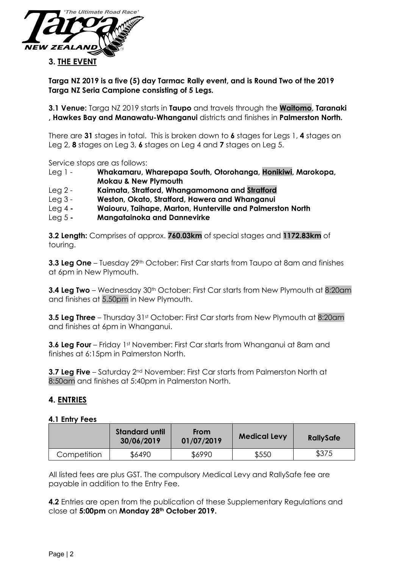

**Targa NZ 2019 is a five (5) day Tarmac Rally event, and is Round Two of the 2019 Targa NZ Seria Campione consisting of 5 Legs.**

**3.1 Venue:** Targa NZ 2019 starts in **Taupo** and travels through the **Waitomo, Taranaki , Hawkes Bay and Manawatu-Whanganui** districts and finishes in **Palmerston North.**

There are **31** stages in total. This is broken down to **6** stages for Legs 1, **4** stages on Leg 2, **8** stages on Leg 3, **6** stages on Leg 4 and **7** stages on Leg 5.

Service stops are as follows:

- Leg 1 **Whakamaru, Wharepapa South, Otorohanga, Honikiwi, Marokopa, Mokau & New Plymouth**
- Leg 2 **Kaimata, Stratford, Whangamomona and Stratford**
- Leg 3 **Weston, Okato, Stratford, Hawera and Whanganui**
- Leg 4 **- Waiouru, Taihape, Marton, Hunterville and Palmerston North**
- Leg 5 **- Mangatainoka and Dannevirke**

**3.2 Length:** Comprises of approx. **760.03km** of special stages and **1172.83km** of touring.

**3.3 Leg One** – Tuesday 29<sup>th</sup> October: First Car starts from Taupo at 8am and finishes at 6pm in New Plymouth.

**3.4 Leg Two** – Wednesday 30<sup>th</sup> October: First Car starts from New Plymouth at 8:20am and finishes at 5.50pm in New Plymouth.

**3.5 Leg Three** – Thursday 31st October: First Car starts from New Plymouth at 8:20am and finishes at 6pm in Whanganui.

**3.6 Leg Four** – Friday 1<sup>st</sup> November: First Car starts from Whanganui at 8am and finishes at 6:15pm in Palmerston North.

**3.7 Leg Five** – Saturday 2<sup>nd</sup> November: First Car starts from Palmerston North at 8:50am and finishes at 5:40pm in Palmerston North.

# **4. ENTRIES**

#### **4.1 Entry Fees**

|             | <b>Standard until</b><br>30/06/2019 | <b>From</b><br>01/07/2019 | <b>Medical Levy</b> | <b>RallySafe</b> |
|-------------|-------------------------------------|---------------------------|---------------------|------------------|
| Competition | \$6490                              | \$6990                    | \$550               | \$375            |

All listed fees are plus GST. The compulsory Medical Levy and RallySafe fee are payable in addition to the Entry Fee.

**4.2** Entries are open from the publication of these Supplementary Regulations and close at **5:00pm** on **Monday 28th October 2019.**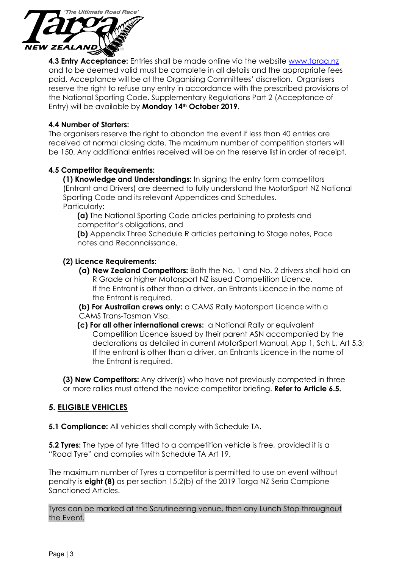

**4.3 Entry Acceptance:** Entries shall be made online via the website [www.targa.nz](http://www.targa.nz/) and to be deemed valid must be complete in all details and the appropriate fees paid. Acceptance will be at the Organising Committees' discretion. Organisers reserve the right to refuse any entry in accordance with the prescribed provisions of the National Sporting Code. Supplementary Regulations Part 2 (Acceptance of Entry) will be available by **Monday 14th October 2019**.

#### **4.4 Number of Starters:**

The organisers reserve the right to abandon the event if less than 40 entries are received at normal closing date. The maximum number of competition starters will be 150. Any additional entries received will be on the reserve list in order of receipt.

#### **4.5 Competitor Requirements:**

**(1) Knowledge and Understandings:** In signing the entry form competitors (Entrant and Drivers) are deemed to fully understand the MotorSport NZ National Sporting Code and its relevant Appendices and Schedules. Particularly:

**(a)** The National Sporting Code articles pertaining to protests and competitor's obligations, and

**(b)** Appendix Three Schedule R articles pertaining to Stage notes, Pace notes and Reconnaissance.

#### **(2) Licence Requirements:**

- **(a) New Zealand Competitors:** Both the No. 1 and No. 2 drivers shall hold an R Grade or higher Motorsport NZ issued Competition Licence. If the Entrant is other than a driver, an Entrants Licence in the name of the Entrant is required.
- **(b) For Australian crews only:** a CAMS Rally Motorsport Licence with a CAMS Trans-Tasman Visa.
- **(c) For all other international crews:** a National Rally or equivalent Competition Licence issued by their parent ASN accompanied by the declarations as detailed in current MotorSport Manual, App 1, Sch L, Art 5.3; If the entrant is other than a driver, an Entrants Licence in the name of the Entrant is required.

**(3) New Competitors:** Any driver(s) who have not previously competed in three or more rallies must attend the novice competitor briefing. **Refer to Article 6.5.**

# **5. ELIGIBLE VEHICLES**

**5.1 Compliance:** All vehicles shall comply with Schedule TA.

**5.2 Tyres:** The type of tyre fitted to a competition vehicle is free, provided it is a "Road Tyre" and complies with Schedule TA Art 19.

The maximum number of Tyres a competitor is permitted to use on event without penalty is **eight (8)** as per section 15.2(b) of the 2019 Targa NZ Seria Campione Sanctioned Articles.

Tyres can be marked at the Scrutineering venue, then any Lunch Stop throughout the Event.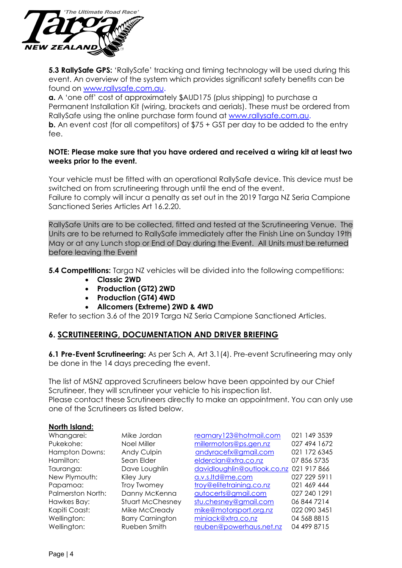

**5.3 RallySafe GPS:** 'RallySafe' tracking and timing technology will be used during this event. An overview of the system which provides significant safety benefits can be found on [www.rallysafe.com.au.](http://www.rallysafe.com.au/)

**a.** A 'one off' cost of approximately \$AUD175 (plus shipping) to purchase a Permanent Installation Kit (wiring, brackets and aerials). These must be ordered from RallySafe using the online purchase form found at [www.rallysafe.com.au.](http://www.rallysafe.com.au/) **b.** An event cost (for all competitors) of \$75 + GST per day to be added to the entry fee.

#### **NOTE: Please make sure that you have ordered and received a wiring kit at least two weeks prior to the event.**

Your vehicle must be fitted with an operational RallySafe device. This device must be switched on from scrutineering through until the end of the event. Failure to comply will incur a penalty as set out in the 2019 Targa NZ Seria Campione Sanctioned Series Articles Art 16.2.20.

RallySafe Units are to be collected, fitted and tested at the Scrutineering Venue. The Units are to be returned to RallySafe immediately after the Finish Line on Sunday 19th May or at any Lunch stop or End of Day during the Event. All Units must be returned before leaving the Event

**5.4 Competitions:** Targa NZ vehicles will be divided into the following competitions:

- **Classic 2WD**
- **Production (GT2) 2WD**
- **Production (GT4) 4WD**
- **Allcomers (Extreme) 2WD & 4WD**

Refer to section 3.6 of the 2019 Targa NZ Seria Campione Sanctioned Articles.

# **6. SCRUTINEERING, DOCUMENTATION AND DRIVER BRIEFING**

**6.1 Pre-Event Scrutineering:** As per Sch A, Art 3.1(4). Pre-event Scrutineering may only be done in the 14 days preceding the event.

The list of MSNZ approved Scrutineers below have been appointed by our Chief Scrutineer, they will scrutineer your vehicle to his inspection list.

Please contact these Scrutineers directly to make an appointment. You can only use one of the Scrutineers as listed below.

#### **North Island:**

| Whangarei:        | Mike Jordan             | reamary123@hotmail.com                  | 021 149 3539 |
|-------------------|-------------------------|-----------------------------------------|--------------|
| Pukekohe:         | Noel Miller             | millermotors@ps.gen.nz                  | 027 494 1672 |
| Hampton Downs:    | <b>Andy Culpin</b>      | andyracefx@gmail.com                    | 021 172 6345 |
| Hamilton:         | Sean Elder              | elderclan@xtra.co.nz                    | 07 856 5735  |
| Tauranga:         | Dave Loughlin           | davidloughlin@outlook.co.nz 021 917 866 |              |
| New Plymouth:     | Kiley Jury              | a.v.s.ltd@me.com                        | 027 229 5911 |
| Papamoa:          | Troy Twomey             | troy@elitetraining.co.nz                | 021 469 444  |
| Palmerston North: | Danny McKenna           | autocerts@gmail.com                     | 027 240 1291 |
| Hawkes Bay:       | <b>Stuart McChesney</b> | stu.chesney@gmail.com                   | 06 844 7214  |
| Kapiti Coast:     | Mike McCready           | mike@motorsport.org.nz                  | 022 090 3451 |
| Wellington:       | <b>Barry Carnington</b> | miniack@xtra.co.nz                      | 04 568 8815  |
| Wellington:       | Rueben Smith            | reuben@powerhaus.net.nz                 | 04 499 8715  |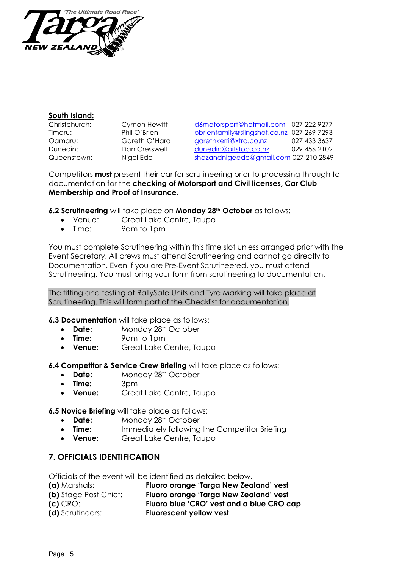

#### **South Island:**

| Christchurch: |  |
|---------------|--|
| Timaru:       |  |
| Oamaru:       |  |
| Dunedin:      |  |
| Queenstown:   |  |

Cymon Hewitt [d6motorsport@hotmail.com](mailto:d6motorsport@hotmail.com) 027 222 9277 Phil O'Brien [obrienfamily@slingshot.co.nz](mailto:obrienfamily@slingshot.co.nz) 027 269 7293 Gareth O'Hara [garethkerri@xtra.co.nz](mailto:garethkerri@xtra.co.nz) 027 433 3637 Dan Cresswell [dunedin@pitstop.co.nz](mailto:dunedin@pitstop.co.nz) 029 456 2102 Nigel Ede [shazandnigeede@gmail.com](mailto:shazandnigeede@gmail.com) 027 210 2849

Competitors **must** present their car for scrutineering prior to processing through to documentation for the **checking of Motorsport and Civil licenses, Car Club Membership and Proof of Insurance.**

**6.2 Scrutineering** will take place on **Monday 28th October** as follows:

- Venue: Great Lake Centre, Taupo
- Time: 9am to 1pm

You must complete Scrutineering within this time slot unless arranged prior with the Event Secretary. All crews must attend Scrutineering and cannot go directly to Documentation. Even if you are Pre-Event Scrutineered, you must attend Scrutineering. You must bring your form from scrutineering to documentation.

The fitting and testing of RallySafe Units and Tyre Marking will take place at Scrutineering. This will form part of the Checklist for documentation.

**6.3 Documentation** will take place as follows:

- **Date:** Monday 28<sup>th</sup> October
- **Time:** 9am to 1pm
- **Venue:** Great Lake Centre, Taupo

**6.4 Competitor & Service Crew Briefing** will take place as follows:

- **Date:** Monday 28<sup>th</sup> October
- **Time:** 3pm
- **Venue:** Great Lake Centre, Taupo

**6.5 Novice Briefing** will take place as follows:

- **Date:** Monday 28<sup>th</sup> October
- **Time:** Immediately following the Competitor Briefing
- **Venue:** Great Lake Centre, Taupo

# **7. OFFICIALS IDENTIFICATION**

Officials of the event will be identified as detailed below.

| (a) Marshals:                | Fluoro orange 'Targa New Zealand' vest    |
|------------------------------|-------------------------------------------|
| <b>(b)</b> Stage Post Chief: | Fluoro orange 'Targa New Zealand' vest    |
| $(c)$ CRO:                   | Fluoro blue 'CRO' vest and a blue CRO cap |
| (d) Scrutineers:             | <b>Fluorescent yellow vest</b>            |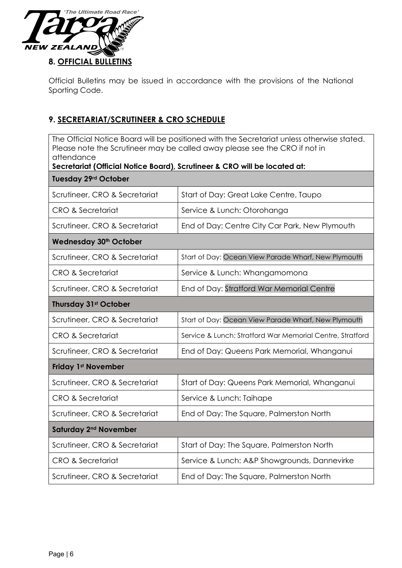

Official Bulletins may be issued in accordance with the provisions of the National Sporting Code.

# **9. SECRETARIAT/SCRUTINEER & CRO SCHEDULE**

The Official Notice Board will be positioned with the Secretariat unless otherwise stated. Please note the Scrutineer may be called away please see the CRO if not in attendance

| Secretariat (Official Notice Board), Scrutineer & CRO will be located at: |                                                           |  |
|---------------------------------------------------------------------------|-----------------------------------------------------------|--|
| <b>Tuesday 29rd October</b>                                               |                                                           |  |
| Scrutineer, CRO & Secretariat                                             | Start of Day: Great Lake Centre, Taupo                    |  |
| <b>CRO &amp; Secretariat</b>                                              | Service & Lunch: Otorohanga                               |  |
| Scrutineer, CRO & Secretariat                                             | End of Day: Centre City Car Park, New Plymouth            |  |
| Wednesday 30 <sup>th</sup> October                                        |                                                           |  |
| Scrutineer, CRO & Secretariat                                             | Start of Day: Ocean View Parade Wharf, New Plymouth       |  |
| <b>CRO &amp; Secretariat</b>                                              | Service & Lunch: Whangamomona                             |  |
| Scrutineer, CRO & Secretariat                                             | End of Day: Stratford War Memorial Centre                 |  |
| <b>Thursday 31st October</b>                                              |                                                           |  |
| Scrutineer, CRO & Secretariat                                             | Start of Day: Ocean View Parade Wharf, New Plymouth       |  |
| <b>CRO &amp; Secretariat</b>                                              | Service & Lunch: Stratford War Memorial Centre, Stratford |  |
| Scrutineer, CRO & Secretariat                                             | End of Day: Queens Park Memorial, Whanganui               |  |
| <b>Friday 1st November</b>                                                |                                                           |  |
| Scrutineer, CRO & Secretariat                                             | Start of Day: Queens Park Memorial, Whanganui             |  |
| <b>CRO &amp; Secretariat</b>                                              | Service & Lunch: Taihape                                  |  |
| Scrutineer, CRO & Secretariat                                             | End of Day: The Square, Palmerston North                  |  |
| Saturday 2 <sup>nd</sup> November                                         |                                                           |  |
| Scrutineer, CRO & Secretariat                                             | Start of Day: The Square, Palmerston North                |  |
| <b>CRO &amp; Secretariat</b>                                              | Service & Lunch: A&P Showgrounds, Dannevirke              |  |
| Scrutineer, CRO & Secretariat                                             | End of Day: The Square, Palmerston North                  |  |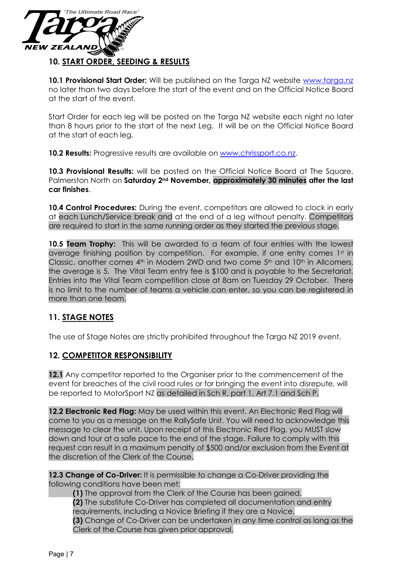

**10.1 Provisional Start Order:** Will be published on the Targa NZ website [www.targa.nz](http://www.targa.nz/) no later than two days before the start of the event and on the Official Notice Board at the start of the event.

Start Order for each leg will be posted on the Targa NZ website each night no later than 8 hours prior to the start of the next Leg. It will be on the Official Notice Board at the start of each leg.

**10.2 Results:** Progressive results are available on [www.chrissport.co.nz.](http://www.chrissport.co.nz/)

**10.3 Provisional Results:** will be posted on the Official Notice Board at The Square, Palmerston North on **Saturday 2nd November, approximately 30 minutes after the last car finishes**.

**10.4 Control Procedures:** During the event, competitors are allowed to clock in early at each Lunch/Service break and at the end of a leg without penalty. Competitors are required to start in the same running order as they started the previous stage.

**10.5 Team Trophy:** This will be awarded to a team of four entries with the lowest average finishing position by competition. For example, if one entry comes 1st in Classic, another comes  $4<sup>th</sup>$  in Modern 2WD and two come  $5<sup>th</sup>$  and  $10<sup>th</sup>$  in Allcomers, the average is 5. The Vital Team entry fee is \$100 and is payable to the Secretariat. Entries into the Vital Team competition close at 8am on Tuesday 29 October. There is no limit to the number of teams a vehicle can enter, so you can be registered in more than one team.

# **11. STAGE NOTES**

The use of Stage Notes are strictly prohibited throughout the Targa NZ 2019 event.

### **12. COMPETITOR RESPONSIBILITY**

**12.1** Any competitor reported to the Organiser prior to the commencement of the event for breaches of the civil road rules or for bringing the event into disrepute, will be reported to MotorSport NZ as detailed in Sch R, part 1, Art 7.1 and Sch P.

**12.2 Electronic Red Flag:** May be used within this event. An Electronic Red Flag will come to you as a message on the RallySafe Unit. You will need to acknowledge this message to clear the unit. Upon receipt of this Electronic Red Flag, you MUST slow down and tour at a safe pace to the end of the stage. Failure to comply with this request can result in a maximum penalty of \$500 and/or exclusion from the Event at the discretion of the Clerk of the Course.

**12.3 Change of Co-Driver:** It is permissible to change a Co-Driver providing the following conditions have been met;

**(1)** The approval from the Clerk of the Course has been gained. **(2)** The substitute Co-Driver has completed all documentation and entry requirements, including a Novice Briefing if they are a Novice. **(3)** Change of Co-Driver can be undertaken in any time control as long as the Clerk of the Course has given prior approval.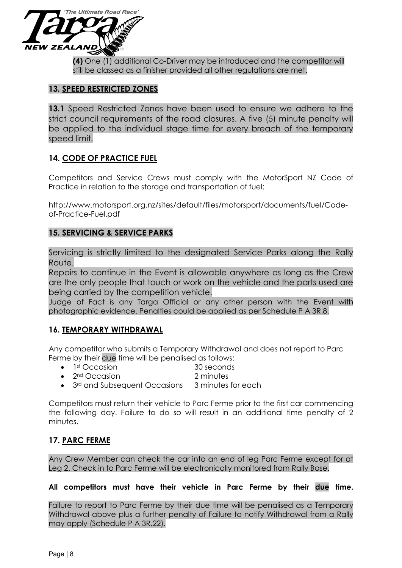

**(4)** One (1) additional Co-Driver may be introduced and the competitor will still be classed as a finisher provided all other regulations are met.

### **13. SPEED RESTRICTED ZONES**

**13.1** Speed Restricted Zones have been used to ensure we adhere to the strict council requirements of the road closures. A five (5) minute penalty will be applied to the individual stage time for every breach of the temporary speed limit.

### **14. CODE OF PRACTICE FUEL**

Competitors and Service Crews must comply with the MotorSport NZ Code of Practice in relation to the storage and transportation of fuel:

http://www.motorsport.org.nz/sites/default/files/motorsport/documents/fuel/Codeof-Practice-Fuel.pdf

### **15. SERVICING & SERVICE PARKS**

Servicing is strictly limited to the designated Service Parks along the Rally Route.

Repairs to continue in the Event is allowable anywhere as long as the Crew are the only people that touch or work on the vehicle and the parts used are being carried by the competition vehicle.

Judge of Fact is any Targa Official or any other person with the Event with photographic evidence. Penalties could be applied as per Schedule P A 3R.8.

### **16. TEMPORARY WITHDRAWAL**

Any competitor who submits a Temporary Withdrawal and does not report to Parc Ferme by their due time will be penalised as follows:

- 1st Occasion 30 seconds
- 2<sup>nd</sup> Occasion 2 minutes
- 3<sup>rd</sup> and Subsequent Occasions 3 minutes for each

Competitors must return their vehicle to Parc Ferme prior to the first car commencing the following day. Failure to do so will result in an additional time penalty of 2 minutes.

# **17. PARC FERME**

Any Crew Member can check the car into an end of leg Parc Ferme except for at Leg 2. Check in to Parc Ferme will be electronically monitored from Rally Base.

#### **All competitors must have their vehicle in Parc Ferme by their due time.**

Failure to report to Parc Ferme by their due time will be penalised as a Temporary Withdrawal above plus a further penalty of Failure to notify Withdrawal from a Rally may apply (Schedule P A 3R.22).